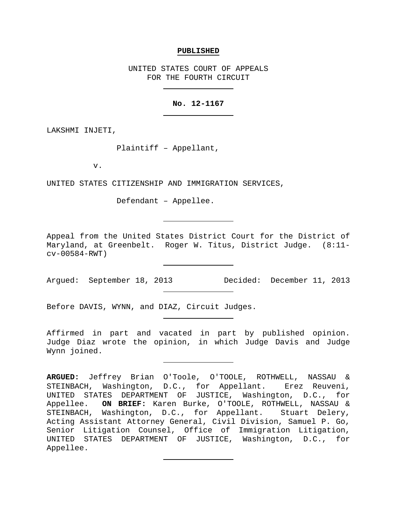#### **PUBLISHED**

UNITED STATES COURT OF APPEALS FOR THE FOURTH CIRCUIT

## **No. 12-1167**

LAKSHMI INJETI,

Plaintiff – Appellant,

v.

UNITED STATES CITIZENSHIP AND IMMIGRATION SERVICES,

Defendant – Appellee.

Appeal from the United States District Court for the District of Maryland, at Greenbelt. Roger W. Titus, District Judge. (8:11 cv-00584-RWT)

Before DAVIS, WYNN, and DIAZ, Circuit Judges.

Affirmed in part and vacated in part by published opinion. Judge Diaz wrote the opinion, in which Judge Davis and Judge Wynn joined.

Argued: September 18, 2013 Decided: December 11, 2013

**ARGUED:** Jeffrey Brian O'Toole, O'TOOLE, ROTHWELL, NASSAU & STEINBACH, Washington, D.C., for Appellant. Erez Reuveni, UNITED STATES DEPARTMENT OF JUSTICE, Washington, D.C., for Appellee. **ON BRIEF:** Karen Burke, O'TOOLE, ROTHWELL, NASSAU & STEINBACH, Washington, D.C., for Appellant. Stuart Delery, Acting Assistant Attorney General, Civil Division, Samuel P. Go, Senior Litigation Counsel, Office of Immigration Litigation, UNITED STATES DEPARTMENT OF JUSTICE, Washington, D.C., for Appellee.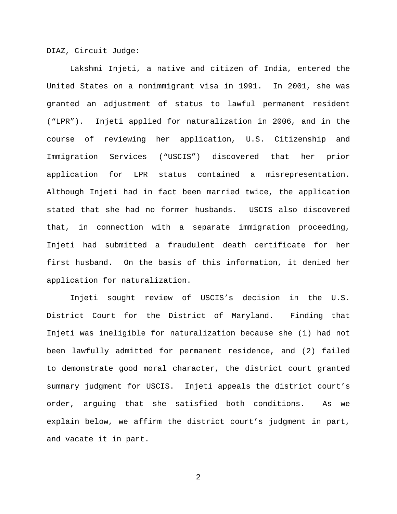DIAZ, Circuit Judge:

Lakshmi Injeti, a native and citizen of India, entered the United States on a nonimmigrant visa in 1991. In 2001, she was granted an adjustment of status to lawful permanent resident ("LPR"). Injeti applied for naturalization in 2006, and in the course of reviewing her application, U.S. Citizenship and Immigration Services ("USCIS") discovered that her prior application for LPR status contained a misrepresentation. Although Injeti had in fact been married twice, the application stated that she had no former husbands. USCIS also discovered that, in connection with a separate immigration proceeding, Injeti had submitted a fraudulent death certificate for her first husband. On the basis of this information, it denied her application for naturalization.

Injeti sought review of USCIS's decision in the U.S. District Court for the District of Maryland. Finding that Injeti was ineligible for naturalization because she (1) had not been lawfully admitted for permanent residence, and (2) failed to demonstrate good moral character, the district court granted summary judgment for USCIS. Injeti appeals the district court's order, arguing that she satisfied both conditions. As we explain below, we affirm the district court's judgment in part, and vacate it in part.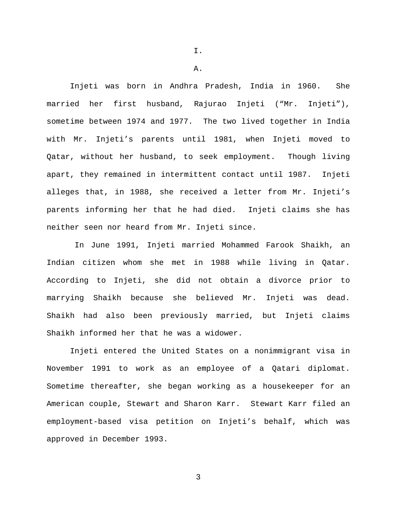I.

A.

Injeti was born in Andhra Pradesh, India in 1960. She married her first husband, Rajurao Injeti ("Mr. Injeti"), sometime between 1974 and 1977. The two lived together in India with Mr. Injeti's parents until 1981, when Injeti moved to Qatar, without her husband, to seek employment. Though living apart, they remained in intermittent contact until 1987. Injeti alleges that, in 1988, she received a letter from Mr. Injeti's parents informing her that he had died. Injeti claims she has neither seen nor heard from Mr. Injeti since.

In June 1991, Injeti married Mohammed Farook Shaikh, an Indian citizen whom she met in 1988 while living in Qatar. According to Injeti, she did not obtain a divorce prior to marrying Shaikh because she believed Mr. Injeti was dead. Shaikh had also been previously married, but Injeti claims Shaikh informed her that he was a widower.

Injeti entered the United States on a nonimmigrant visa in November 1991 to work as an employee of a Qatari diplomat. Sometime thereafter, she began working as a housekeeper for an American couple, Stewart and Sharon Karr. Stewart Karr filed an employment-based visa petition on Injeti's behalf, which was approved in December 1993.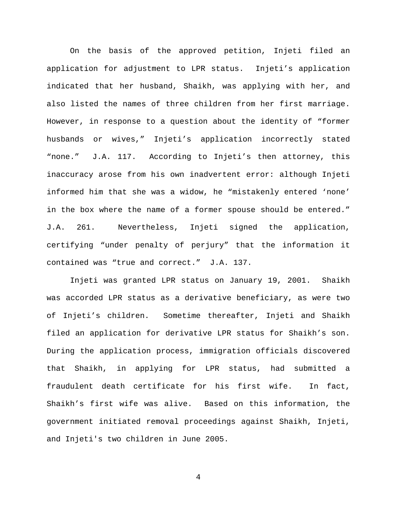On the basis of the approved petition, Injeti filed an application for adjustment to LPR status. Injeti's application indicated that her husband, Shaikh, was applying with her, and also listed the names of three children from her first marriage. However, in response to a question about the identity of "former husbands or wives," Injeti's application incorrectly stated "none." J.A. 117. According to Injeti's then attorney, this inaccuracy arose from his own inadvertent error: although Injeti informed him that she was a widow, he "mistakenly entered 'none' in the box where the name of a former spouse should be entered." J.A. 261. Nevertheless, Injeti signed the application, certifying "under penalty of perjury" that the information it contained was "true and correct." J.A. 137.

Injeti was granted LPR status on January 19, 2001. Shaikh was accorded LPR status as a derivative beneficiary, as were two of Injeti's children. Sometime thereafter, Injeti and Shaikh filed an application for derivative LPR status for Shaikh's son. During the application process, immigration officials discovered that Shaikh, in applying for LPR status, had submitted a fraudulent death certificate for his first wife. In fact, Shaikh's first wife was alive. Based on this information, the government initiated removal proceedings against Shaikh, Injeti, and Injeti's two children in June 2005.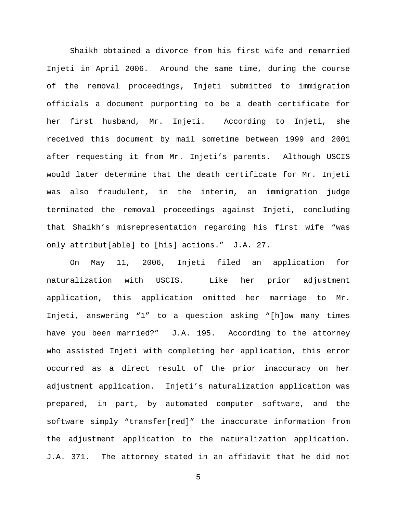Shaikh obtained a divorce from his first wife and remarried Injeti in April 2006. Around the same time, during the course of the removal proceedings, Injeti submitted to immigration officials a document purporting to be a death certificate for her first husband, Mr. Injeti. According to Injeti, she received this document by mail sometime between 1999 and 2001 after requesting it from Mr. Injeti's parents. Although USCIS would later determine that the death certificate for Mr. Injeti was also fraudulent, in the interim, an immigration judge terminated the removal proceedings against Injeti, concluding that Shaikh's misrepresentation regarding his first wife "was only attribut[able] to [his] actions." J.A. 27.

On May 11, 2006, Injeti filed an application for naturalization with USCIS. Like her prior adjustment application, this application omitted her marriage to Mr. Injeti, answering "1" to a question asking "[h]ow many times have you been married?" J.A. 195. According to the attorney who assisted Injeti with completing her application, this error occurred as a direct result of the prior inaccuracy on her adjustment application. Injeti's naturalization application was prepared, in part, by automated computer software, and the software simply "transfer[red]" the inaccurate information from the adjustment application to the naturalization application. J.A. 371. The attorney stated in an affidavit that he did not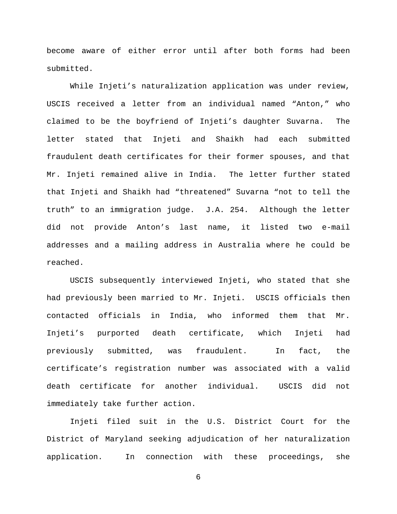become aware of either error until after both forms had been submitted.

While Injeti's naturalization application was under review, USCIS received a letter from an individual named "Anton," who claimed to be the boyfriend of Injeti's daughter Suvarna. The letter stated that Injeti and Shaikh had each submitted fraudulent death certificates for their former spouses, and that Mr. Injeti remained alive in India. The letter further stated that Injeti and Shaikh had "threatened" Suvarna "not to tell the truth" to an immigration judge. J.A. 254. Although the letter did not provide Anton's last name, it listed two e-mail addresses and a mailing address in Australia where he could be reached.

USCIS subsequently interviewed Injeti, who stated that she had previously been married to Mr. Injeti. USCIS officials then contacted officials in India, who informed them that Mr. Injeti's purported death certificate, which Injeti had previously submitted, was fraudulent. In fact, the certificate's registration number was associated with a valid death certificate for another individual. USCIS did not immediately take further action.

Injeti filed suit in the U.S. District Court for the District of Maryland seeking adjudication of her naturalization application. In connection with these proceedings, she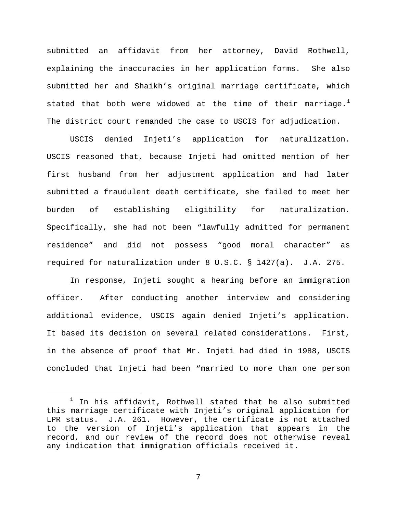submitted an affidavit from her attorney, David Rothwell, explaining the inaccuracies in her application forms. She also submitted her and Shaikh's original marriage certificate, which stated that both were widowed at the time of their marriage. $^1$  $^1$ The district court remanded the case to USCIS for adjudication.

USCIS denied Injeti's application for naturalization. USCIS reasoned that, because Injeti had omitted mention of her first husband from her adjustment application and had later submitted a fraudulent death certificate, she failed to meet her burden of establishing eligibility for naturalization. Specifically, she had not been "lawfully admitted for permanent residence" and did not possess "good moral character" as required for naturalization under 8 U.S.C. § 1427(a). J.A. 275.

In response, Injeti sought a hearing before an immigration officer. After conducting another interview and considering additional evidence, USCIS again denied Injeti's application. It based its decision on several related considerations. First, in the absence of proof that Mr. Injeti had died in 1988, USCIS concluded that Injeti had been "married to more than one person

<span id="page-6-0"></span> $1$  In his affidavit, Rothwell stated that he also submitted this marriage certificate with Injeti's original application for LPR status. J.A. 261. However, the certificate is not attached to the version of Injeti's application that appears in the record, and our review of the record does not otherwise reveal any indication that immigration officials received it.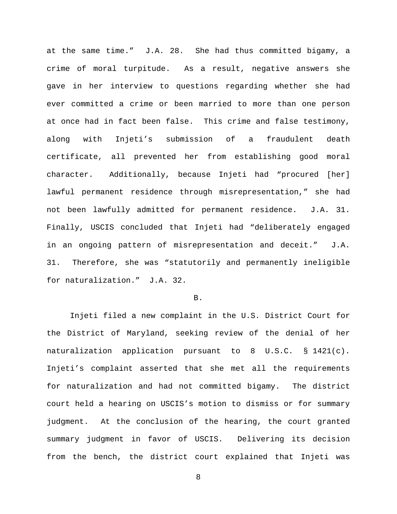at the same time." J.A. 28. She had thus committed bigamy, a crime of moral turpitude. As a result, negative answers she gave in her interview to questions regarding whether she had ever committed a crime or been married to more than one person at once had in fact been false. This crime and false testimony, along with Injeti's submission of a fraudulent death certificate, all prevented her from establishing good moral character. Additionally, because Injeti had "procured [her] lawful permanent residence through misrepresentation," she had not been lawfully admitted for permanent residence. J.A. 31. Finally, USCIS concluded that Injeti had "deliberately engaged in an ongoing pattern of misrepresentation and deceit." J.A. 31. Therefore, she was "statutorily and permanently ineligible for naturalization." J.A. 32.

#### B.

Injeti filed a new complaint in the U.S. District Court for the District of Maryland, seeking review of the denial of her naturalization application pursuant to 8 U.S.C. § 1421(c). Injeti's complaint asserted that she met all the requirements for naturalization and had not committed bigamy. The district court held a hearing on USCIS's motion to dismiss or for summary judgment. At the conclusion of the hearing, the court granted summary judgment in favor of USCIS. Delivering its decision from the bench, the district court explained that Injeti was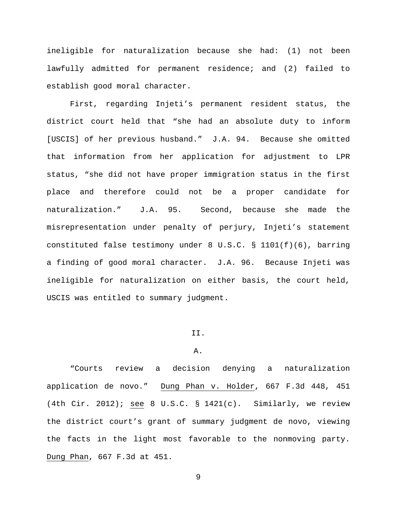ineligible for naturalization because she had: (1) not been lawfully admitted for permanent residence; and (2) failed to establish good moral character.

First, regarding Injeti's permanent resident status, the district court held that "she had an absolute duty to inform [USCIS] of her previous husband." J.A. 94. Because she omitted that information from her application for adjustment to LPR status, "she did not have proper immigration status in the first place and therefore could not be a proper candidate for naturalization." J.A. 95. Second, because she made the misrepresentation under penalty of perjury, Injeti's statement constituted false testimony under 8 U.S.C. § 1101(f)(6), barring a finding of good moral character. J.A. 96. Because Injeti was ineligible for naturalization on either basis, the court held, USCIS was entitled to summary judgment.

## II.

#### A.

"Courts review a decision denying a naturalization application de novo." Dung Phan v. Holder, 667 F.3d 448, 451 (4th Cir. 2012); see 8 U.S.C.  $\S$  1421(c). Similarly, we review the district court's grant of summary judgment de novo, viewing the facts in the light most favorable to the nonmoving party. Dung Phan, 667 F.3d at 451.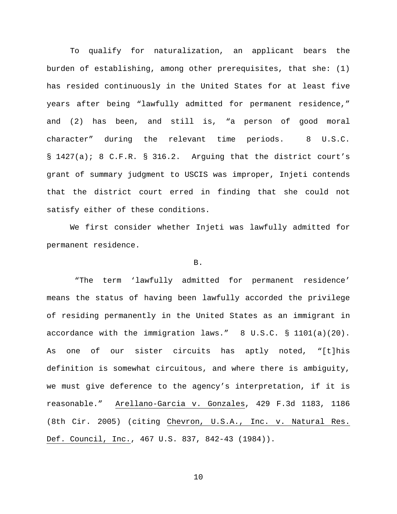To qualify for naturalization, an applicant bears the burden of establishing, among other prerequisites, that she: (1) has resided continuously in the United States for at least five years after being "lawfully admitted for permanent residence," and (2) has been, and still is, "a person of good moral character" during the relevant time periods. 8 U.S.C. § 1427(a); 8 C.F.R. § 316.2. Arguing that the district court's grant of summary judgment to USCIS was improper, Injeti contends that the district court erred in finding that she could not satisfy either of these conditions.

We first consider whether Injeti was lawfully admitted for permanent residence.

### B.

"The term 'lawfully admitted for permanent residence' means the status of having been lawfully accorded the privilege of residing permanently in the United States as an immigrant in accordance with the immigration laws." 8 U.S.C. § 1101(a)(20). As one of our sister circuits has aptly noted, "[t]his definition is somewhat circuitous, and where there is ambiguity, we must give deference to the agency's interpretation, if it is reasonable." Arellano-Garcia v. Gonzales, 429 F.3d 1183, 1186 (8th Cir. 2005) (citing Chevron, U.S.A., Inc. v. Natural Res. Def. Council, Inc., 467 U.S. 837, 842-43 (1984)).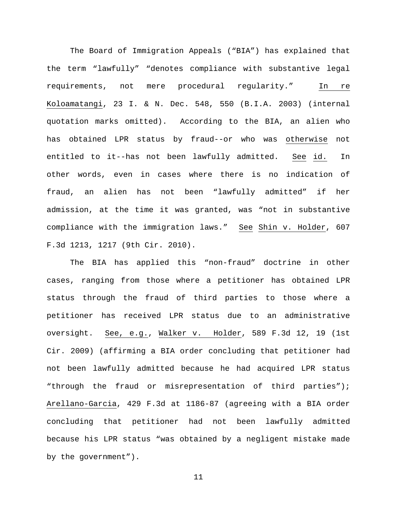The Board of Immigration Appeals ("BIA") has explained that the term "lawfully" "denotes compliance with substantive legal requirements, not mere procedural regularity." In re Koloamatangi, 23 I. & N. Dec. 548, 550 (B.I.A. 2003) (internal quotation marks omitted). According to the BIA, an alien who has obtained LPR status by fraud--or who was otherwise not entitled to it--has not been lawfully admitted. See id. In other words, even in cases where there is no indication of fraud, an alien has not been "lawfully admitted" if her admission, at the time it was granted, was "not in substantive compliance with the immigration laws." See Shin v. Holder, 607 F.3d 1213, 1217 (9th Cir. 2010).

The BIA has applied this "non-fraud" doctrine in other cases, ranging from those where a petitioner has obtained LPR status through the fraud of third parties to those where a petitioner has received LPR status due to an administrative oversight. See, e.g., Walker v. Holder, 589 F.3d 12, 19 (1st Cir. 2009) (affirming a BIA order concluding that petitioner had not been lawfully admitted because he had acquired LPR status "through the fraud or misrepresentation of third parties"); Arellano-Garcia, 429 F.3d at 1186-87 (agreeing with a BIA order concluding that petitioner had not been lawfully admitted because his LPR status "was obtained by a negligent mistake made by the government").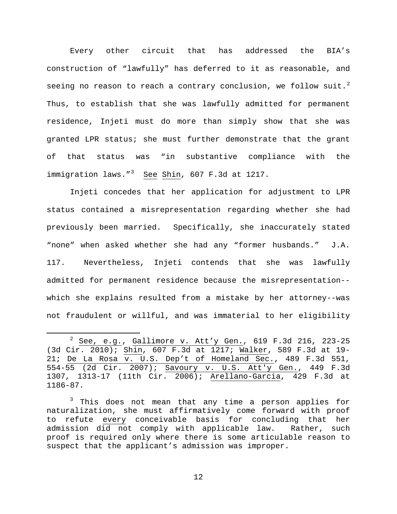Every other circuit that has addressed the BIA's construction of "lawfully" has deferred to it as reasonable, and seeing no reason to reach a contrary conclusion, we follow suit.<sup>[2](#page-11-0)</sup> Thus, to establish that she was lawfully admitted for permanent residence, Injeti must do more than simply show that she was granted LPR status; she must further demonstrate that the grant of that status was "in substantive compliance with the immigration laws."<sup>[3](#page-11-1)</sup> See Shin, 607 F.3d at 1217.

Injeti concedes that her application for adjustment to LPR status contained a misrepresentation regarding whether she had previously been married. Specifically, she inaccurately stated "none" when asked whether she had any "former husbands." J.A. 117. Nevertheless, Injeti contends that she was lawfully admitted for permanent residence because the misrepresentation- which she explains resulted from a mistake by her attorney--was not fraudulent or willful, and was immaterial to her eligibility

<span id="page-11-0"></span> <sup>2</sup> See, e.g., Gallimore v. Att'y Gen., 619 F.3d 216, 223-25 (3d Cir. 2010); Shin, 607 F.3d at 1217; Walker, 589 F.3d at 19- 21; De La Rosa v. U.S. Dep't of Homeland Sec., 489 F.3d 551, 554-55 (2d Cir. 2007); Savoury v. U.S. Att'y Gen., 449 F.3d 1307, 1313-17 (11th Cir. 2006); Arellano-Garcia, 429 F.3d at 1186-87.

<span id="page-11-1"></span><sup>&</sup>lt;sup>3</sup> This does not mean that any time a person applies for naturalization, she must affirmatively come forward with proof to refute every conceivable basis for concluding that her<br>admission did not comply with applicable law. Rather, such admission did not comply with applicable law. proof is required only where there is some articulable reason to suspect that the applicant's admission was improper.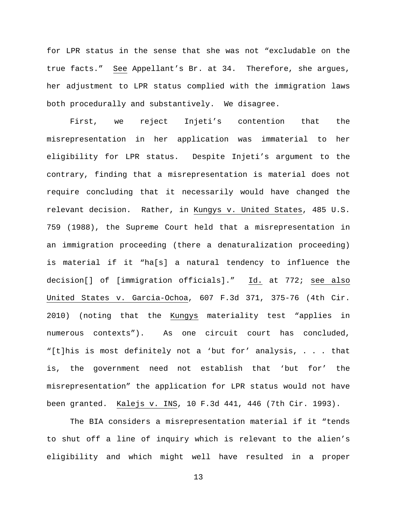for LPR status in the sense that she was not "excludable on the true facts." See Appellant's Br. at 34. Therefore, she argues, her adjustment to LPR status complied with the immigration laws both procedurally and substantively. We disagree.

First, we reject Injeti's contention that the misrepresentation in her application was immaterial to her eligibility for LPR status. Despite Injeti's argument to the contrary, finding that a misrepresentation is material does not require concluding that it necessarily would have changed the relevant decision. Rather, in Kungys v. United States, 485 U.S. 759 (1988), the Supreme Court held that a misrepresentation in an immigration proceeding (there a denaturalization proceeding) is material if it "ha[s] a natural tendency to influence the decision[] of [immigration officials]." Id. at 772; see also United States v. Garcia-Ochoa, 607 F.3d 371, 375-76 (4th Cir. 2010) (noting that the Kungys materiality test "applies in numerous contexts"). As one circuit court has concluded, "[t]his is most definitely not a 'but for' analysis, . . . that is, the government need not establish that 'but for' the misrepresentation" the application for LPR status would not have been granted. Kalejs v. INS, 10 F.3d 441, 446 (7th Cir. 1993).

The BIA considers a misrepresentation material if it "tends to shut off a line of inquiry which is relevant to the alien's eligibility and which might well have resulted in a proper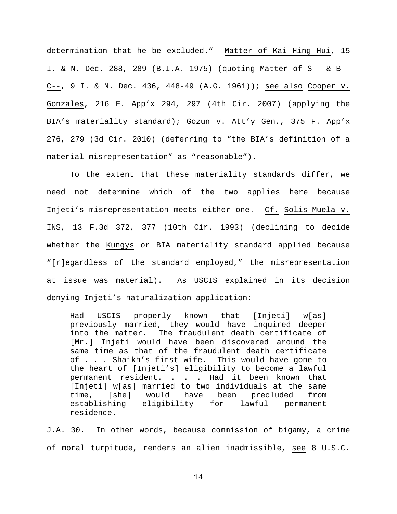determination that he be excluded." Matter of Kai Hing Hui, 15 I. & N. Dec. 288, 289 (B.I.A. 1975) (quoting Matter of S-- & B-- C--, 9 I. & N. Dec. 436, 448-49 (A.G. 1961)); see also Cooper v. Gonzales, 216 F. App'x 294, 297 (4th Cir. 2007) (applying the BIA's materiality standard); Gozun v. Att'y Gen., 375 F. App'x 276, 279 (3d Cir. 2010) (deferring to "the BIA's definition of a material misrepresentation" as "reasonable").

To the extent that these materiality standards differ, we need not determine which of the two applies here because Injeti's misrepresentation meets either one. Cf. Solis-Muela v. INS, 13 F.3d 372, 377 (10th Cir. 1993) (declining to decide whether the Kungys or BIA materiality standard applied because "[r]egardless of the standard employed," the misrepresentation at issue was material). As USCIS explained in its decision denying Injeti's naturalization application:

Had USCIS properly known that [Injeti] w[as] previously married, they would have inquired deeper into the matter. The fraudulent death certificate of [Mr.] Injeti would have been discovered around the same time as that of the fraudulent death certificate of . . . Shaikh's first wife. This would have gone to the heart of [Injeti's] eligibility to become a lawful permanent resident. . . . Had it been known that [Injeti] w[as] married to two individuals at the same time, [she] would have been precluded from<br>establishing eligibility for lawful permanent establishing eligibility for lawful permanent residence.

J.A. 30. In other words, because commission of bigamy, a crime of moral turpitude, renders an alien inadmissible, see 8 U.S.C.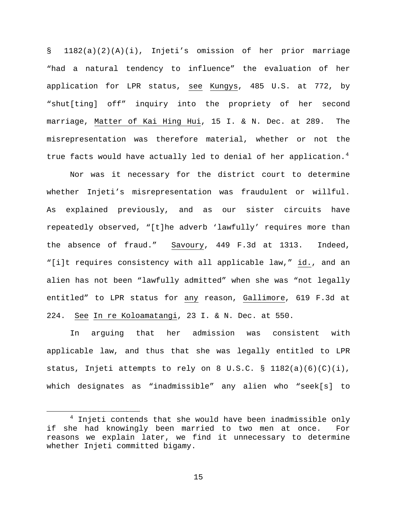§ 1182(a)(2)(A)(i), Injeti's omission of her prior marriage "had a natural tendency to influence" the evaluation of her application for LPR status, see Kungys, 485 U.S. at 772, by "shut[ting] off" inquiry into the propriety of her second marriage, Matter of Kai Hing Hui, 15 I. & N. Dec. at 289. The misrepresentation was therefore material, whether or not the true facts would have actually led to denial of her application.<sup>[4](#page-14-0)</sup>

Nor was it necessary for the district court to determine whether Injeti's misrepresentation was fraudulent or willful. As explained previously, and as our sister circuits have repeatedly observed, "[t]he adverb 'lawfully' requires more than the absence of fraud." Savoury, 449 F.3d at 1313. Indeed, "[i]t requires consistency with all applicable law," id., and an alien has not been "lawfully admitted" when she was "not legally entitled" to LPR status for any reason, Gallimore, 619 F.3d at 224. See In re Koloamatangi, 23 I. & N. Dec. at 550.

In arguing that her admission was consistent with applicable law, and thus that she was legally entitled to LPR status, Injeti attempts to rely on 8 U.S.C. §  $1182(a)(6)(C)(i)$ , which designates as "inadmissible" any alien who "seek[s] to

<span id="page-14-0"></span> $4$  Injeti contends that she would have been inadmissible only if she had knowingly been married to two men at once. For reasons we explain later, we find it unnecessary to determine whether Injeti committed bigamy.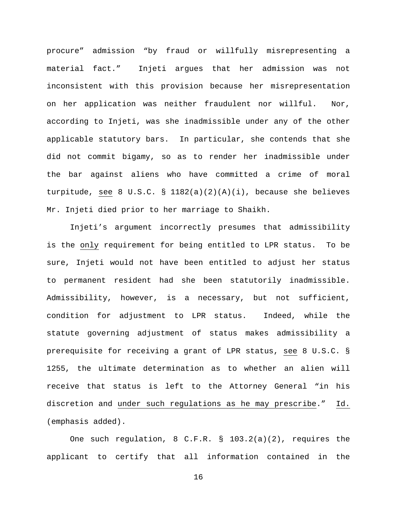procure" admission "by fraud or willfully misrepresenting a material fact." Injeti argues that her admission was not inconsistent with this provision because her misrepresentation on her application was neither fraudulent nor willful. Nor, according to Injeti, was she inadmissible under any of the other applicable statutory bars. In particular, she contends that she did not commit bigamy, so as to render her inadmissible under the bar against aliens who have committed a crime of moral turpitude, see 8 U.S.C. § 1182(a)(2)(A)(i), because she believes Mr. Injeti died prior to her marriage to Shaikh.

Injeti's argument incorrectly presumes that admissibility is the only requirement for being entitled to LPR status. To be sure, Injeti would not have been entitled to adjust her status to permanent resident had she been statutorily inadmissible. Admissibility, however, is a necessary, but not sufficient, condition for adjustment to LPR status. Indeed, while the statute governing adjustment of status makes admissibility a prerequisite for receiving a grant of LPR status, see 8 U.S.C. § 1255, the ultimate determination as to whether an alien will receive that status is left to the Attorney General "in his discretion and under such regulations as he may prescribe." Id. (emphasis added).

One such regulation, 8 C.F.R. § 103.2(a)(2), requires the applicant to certify that all information contained in the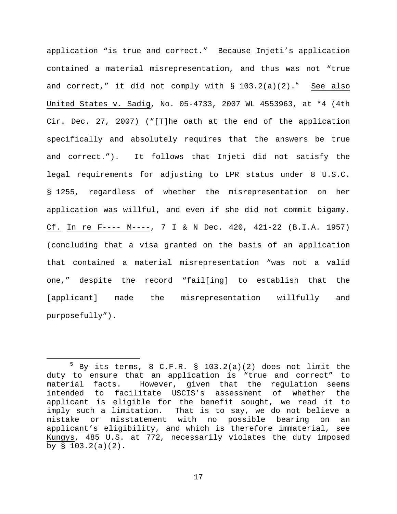application "is true and correct." Because Injeti's application contained a material misrepresentation, and thus was not "true and correct," it did not comply with § 103.2(a)(2).<sup>[5](#page-16-0)</sup> See also United States v. Sadig, No. 05-4733, 2007 WL 4553963, at \*4 (4th Cir. Dec. 27, 2007) ("[T]he oath at the end of the application specifically and absolutely requires that the answers be true and correct."). It follows that Injeti did not satisfy the legal requirements for adjusting to LPR status under 8 U.S.C. § 1255, regardless of whether the misrepresentation on her application was willful, and even if she did not commit bigamy. Cf. In re F---- M----, 7 I & N Dec. 420, 421-22 (B.I.A. 1957) (concluding that a visa granted on the basis of an application that contained a material misrepresentation "was not a valid one," despite the record "fail[ing] to establish that the [applicant] made the misrepresentation willfully and purposefully").

<span id="page-16-0"></span> $5$  By its terms, 8 C.F.R. § 103.2(a)(2) does not limit the duty to ensure that an application is "true and correct" to material facts. However, given that the regulation seems intended to facilitate USCIS's assessment of whether the applicant is eligible for the benefit sought, we read it to imply such a limitation. That is to say, we do not believe a mistake or misstatement with no possible bearing on an applicant's eligibility, and which is therefore immaterial, see Kungys, 485 U.S. at 772, necessarily violates the duty imposed by  $\S$  103.2(a)(2).